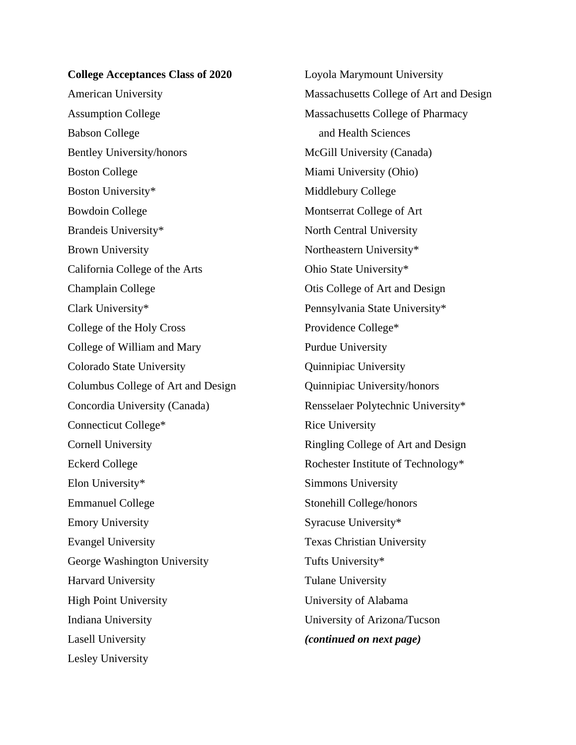**College Acceptances Class of 2020** American University Assumption College Babson College Bentley University/honors Boston College Boston University\* Bowdoin College Brandeis University\* Brown University California College of the Arts Champlain College Clark University\* College of the Holy Cross College of William and Mary Colorado State University Columbus College of Art and Design Concordia University (Canada) Connecticut College\* Cornell University Eckerd College Elon University\* Emmanuel College Emory University Evangel University George Washington University Harvard University High Point University Indiana University Lasell University Lesley University

Loyola Marymount University Massachusetts College of Art and Design Massachusetts College of Pharmacy and Health Sciences McGill University (Canada) Miami University (Ohio) Middlebury College Montserrat College of Art North Central University Northeastern University\* Ohio State University\* Otis College of Art and Design Pennsylvania State University\* Providence College\* Purdue University Quinnipiac University Quinnipiac University/honors Rensselaer Polytechnic University\* Rice University Ringling College of Art and Design Rochester Institute of Technology\* Simmons University Stonehill College/honors Syracuse University\* Texas Christian University Tufts University\* Tulane University University of Alabama University of Arizona/Tucson *(continued on next page)*